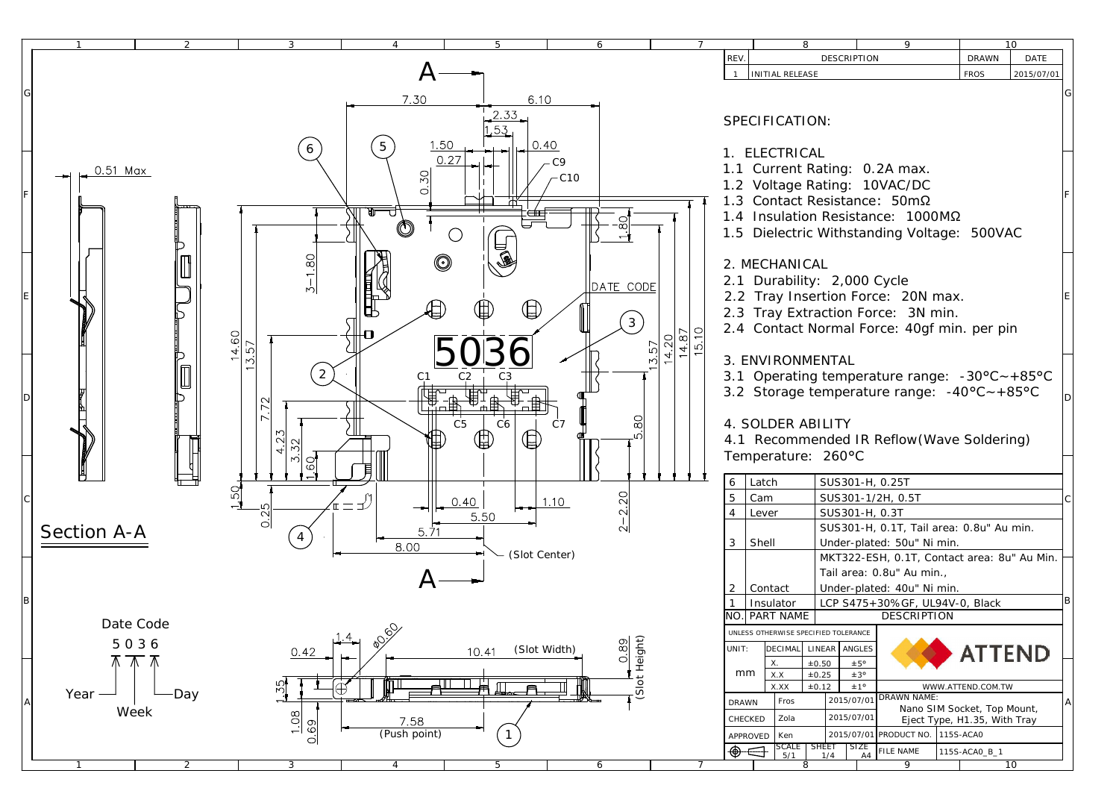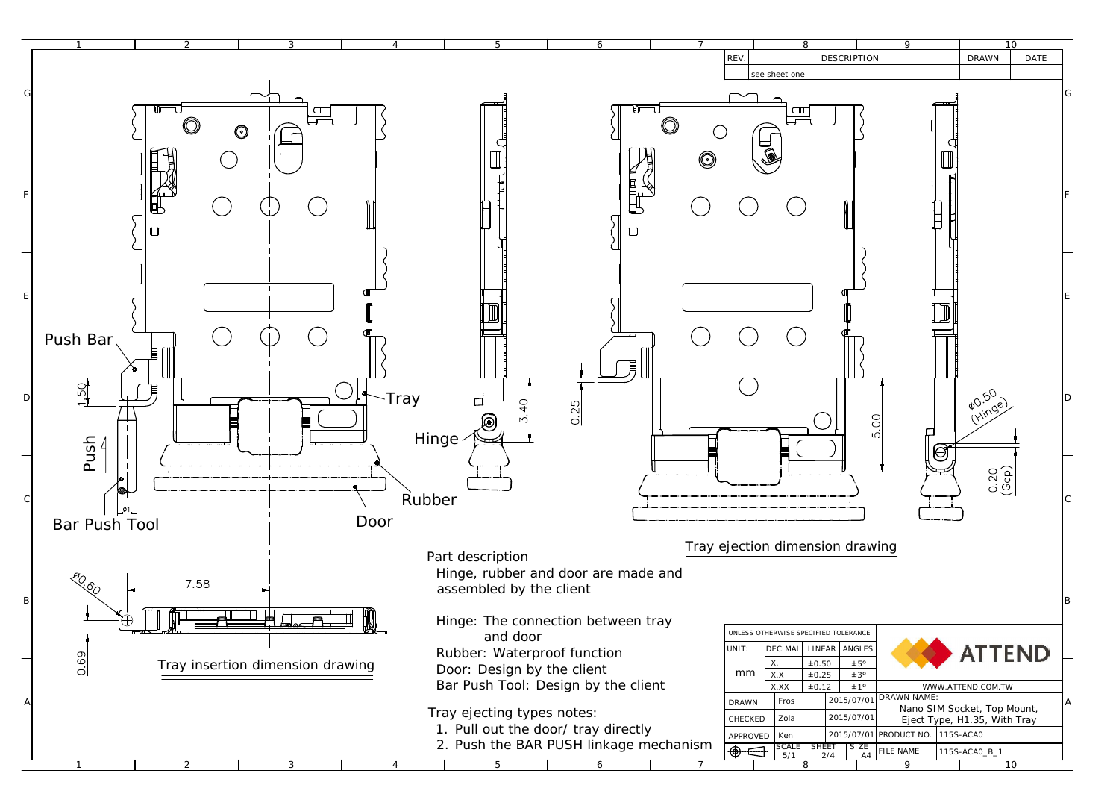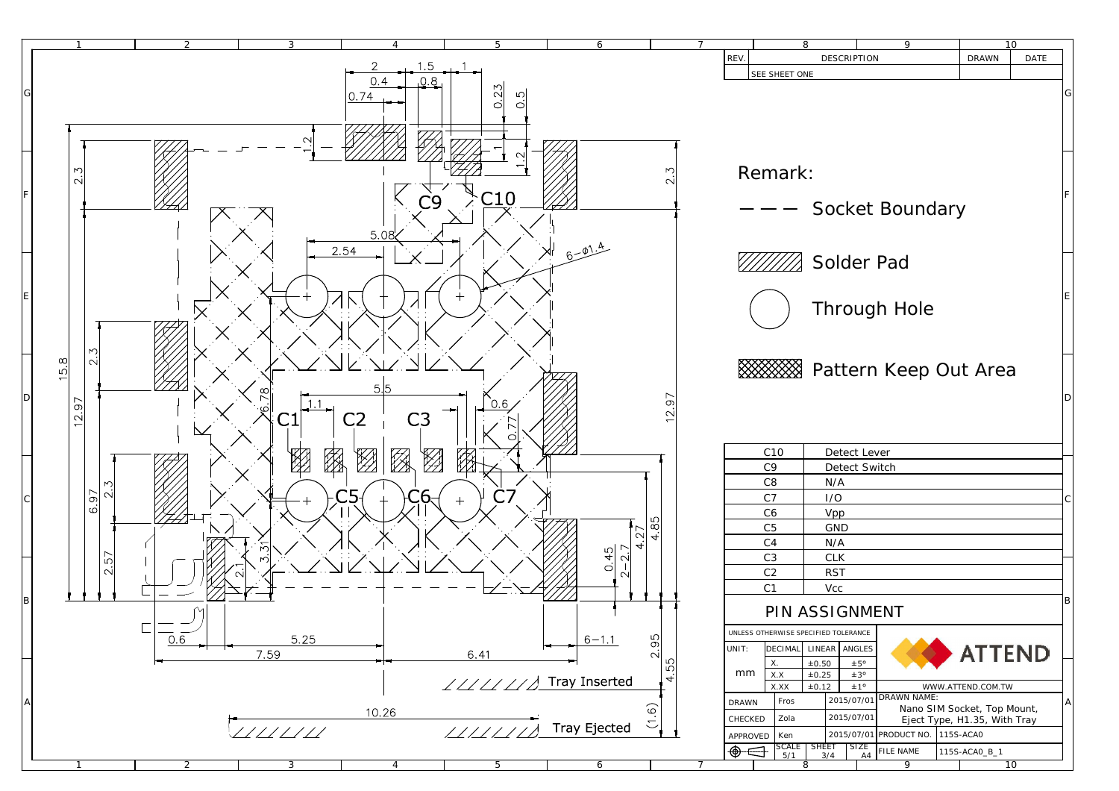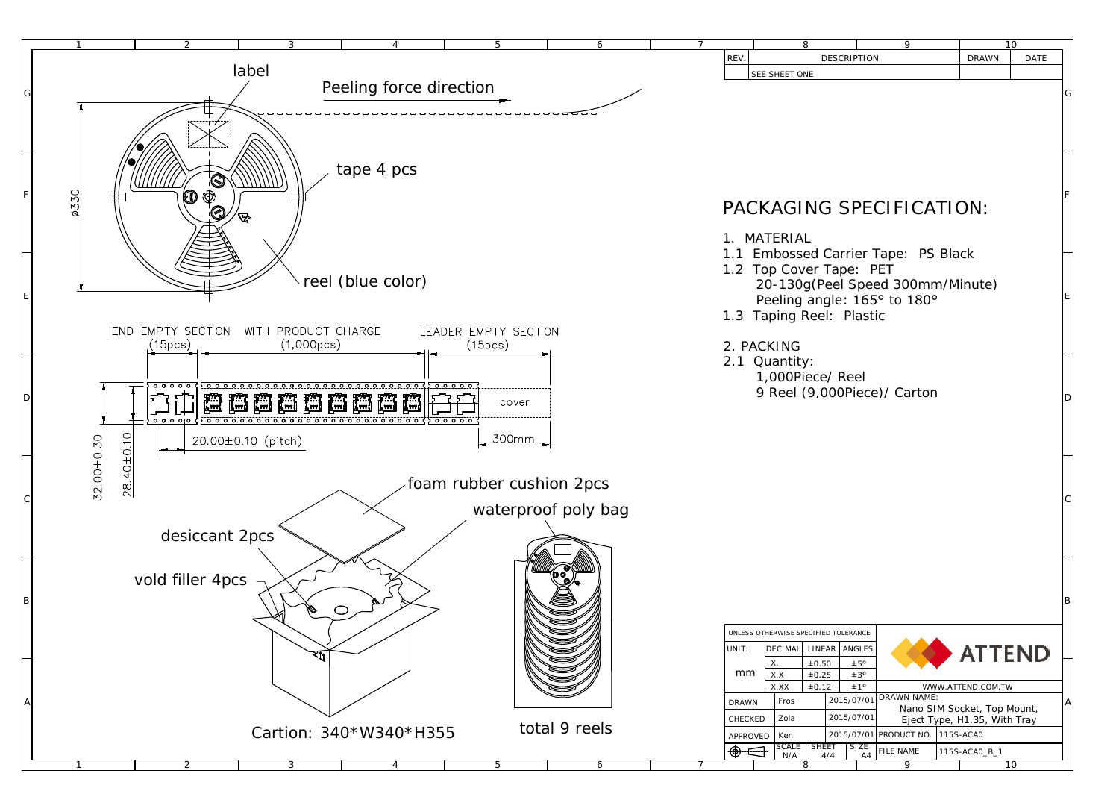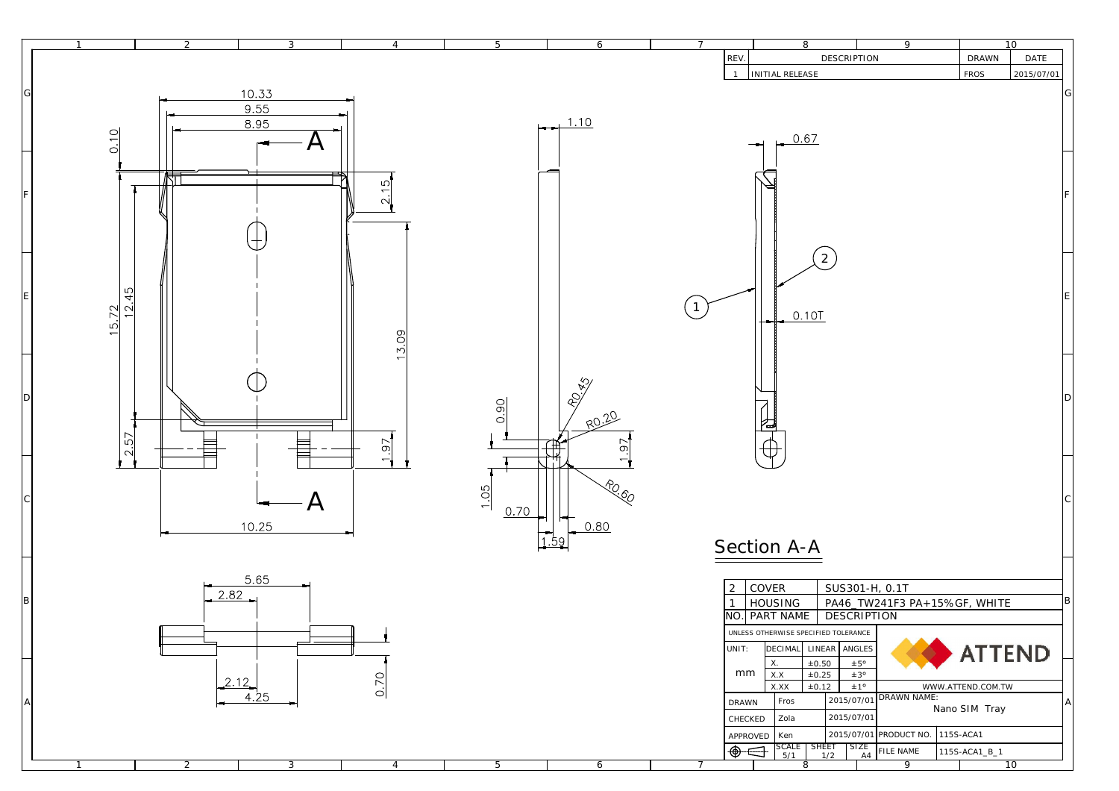